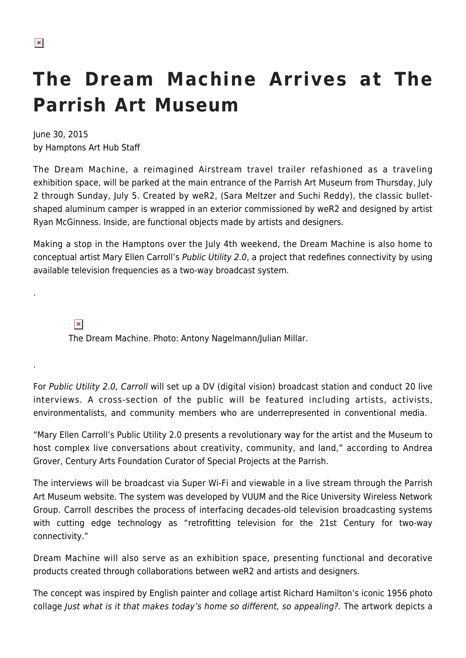## **The Dream Machine Arrives at The Parrish Art Museum**

June 30, 2015 by Hamptons Art Hub Staff

The Dream Machine, a reimagined Airstream travel trailer refashioned as a traveling exhibition space, will be parked at the main entrance of the Parrish Art Museum from Thursday, July 2 through Sunday, July 5. Created by weR2, (Sara Meltzer and Suchi Reddy), the classic bulletshaped aluminum camper is wrapped in an exterior commissioned by weR2 and designed by artist Ryan McGinness. Inside, are functional objects made by artists and designers.

Making a stop in the Hamptons over the July 4th weekend, the Dream Machine is also home to conceptual artist Mary Ellen Carroll's Public Utility 2.0, a project that redefines connectivity by using available television frequencies as a two-way broadcast system.

 $\pmb{\times}$ 

.

.

The Dream Machine. Photo: Antony Nagelmann/Julian Millar.

For Public Utility 2.0, Carroll will set up a DV (digital vision) broadcast station and conduct 20 live interviews. A cross-section of the public will be featured including artists, activists, environmentalists, and community members who are underrepresented in conventional media.

"Mary Ellen Carroll's Public Utility 2.0 presents a revolutionary way for the artist and the Museum to host complex live conversations about creativity, community, and land," according to Andrea Grover, Century Arts Foundation Curator of Special Projects at the Parrish.

The interviews will be broadcast via Super Wi-Fi and viewable in a live stream through the Parrish Art Museum website. The system was developed by VUUM and the Rice University Wireless Network Group. Carroll describes the process of interfacing decades-old television broadcasting systems with cutting edge technology as "retrofitting television for the 21st Century for two-way connectivity."

Dream Machine will also serve as an exhibition space, presenting functional and decorative products created through collaborations between weR2 and artists and designers.

The concept was inspired by English painter and collage artist Richard Hamilton's iconic 1956 photo collage Just what is it that makes today's home so different, so appealing?. The artwork depicts a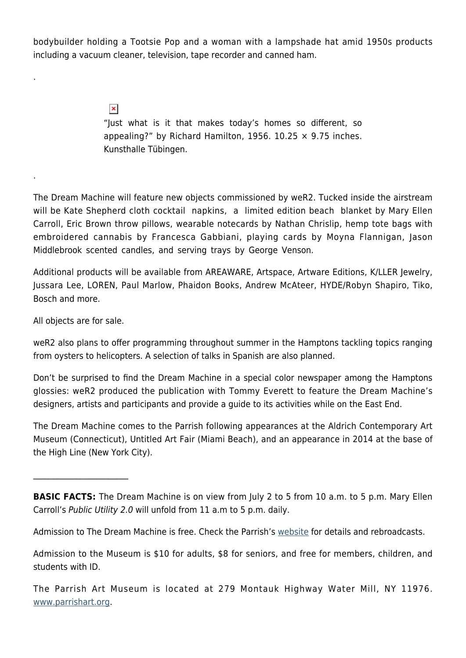bodybuilder holding a Tootsie Pop and a woman with a lampshade hat amid 1950s products including a vacuum cleaner, television, tape recorder and canned ham.

> $\pmb{\times}$ "Just what is it that makes today's homes so different, so appealing?" by Richard Hamilton, 1956. 10.25  $\times$  9.75 inches. Kunsthalle Tübingen.

The Dream Machine will feature new objects commissioned by weR2. Tucked inside the airstream will be Kate Shepherd cloth cocktail napkins, a limited edition beach blanket by Mary Ellen Carroll, Eric Brown throw pillows, wearable notecards by Nathan Chrislip, hemp tote bags with embroidered cannabis by Francesca Gabbiani, playing cards by Moyna Flannigan, Jason Middlebrook scented candles, and serving trays by George Venson.

Additional products will be available from AREAWARE, Artspace, Artware Editions, K/LLER Jewelry, Jussara Lee, LOREN, Paul Marlow, Phaidon Books, Andrew McAteer, HYDE/Robyn Shapiro, Tiko, Bosch and more.

All objects are for sale.

 $\mathcal{L}_\text{max}$ 

.

.

weR2 also plans to offer programming throughout summer in the Hamptons tackling topics ranging from oysters to helicopters. A selection of talks in Spanish are also planned.

Don't be surprised to find the Dream Machine in a special color newspaper among the Hamptons glossies: weR2 produced the publication with Tommy Everett to feature the Dream Machine's designers, artists and participants and provide a guide to its activities while on the East End.

The Dream Machine comes to the Parrish following appearances at the Aldrich Contemporary Art Museum (Connecticut), Untitled Art Fair (Miami Beach), and an appearance in 2014 at the base of the High Line (New York City).

Admission to The Dream Machine is free. Check the Parrish's [website](http://www.parrishart.org) for details and rebroadcasts.

Admission to the Museum is \$10 for adults, \$8 for seniors, and free for members, children, and students with ID.

The Parrish Art Museum is located at 279 Montauk Highway Water Mill, NY 11976. [www.parrishart.org](http://www.parrishart.org).

**BASIC FACTS:** The Dream Machine is on view from July 2 to 5 from 10 a.m. to 5 p.m. Mary Ellen Carroll's Public Utility 2.0 will unfold from 11 a.m to 5 p.m. daily.